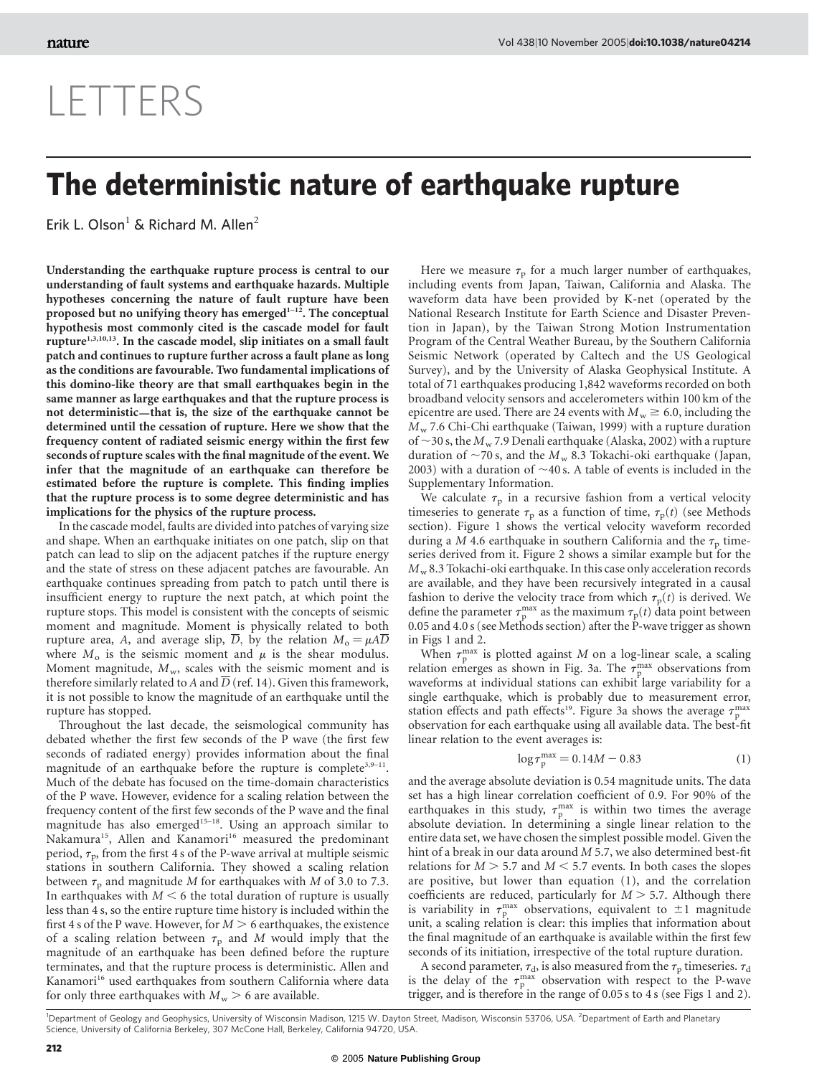## LETTERS

## The deterministic nature of earthquake rupture

Erik L. Olson<sup>1</sup> & Richard M. Allen<sup>2</sup>

Understanding the earthquake rupture process is central to our understanding of fault systems and earthquake hazards. Multiple hypotheses concerning the nature of fault rupture have been proposed but no unifying theory has emerged $1-12$ . The conceptual hypothesis most commonly cited is the cascade model for fault rupture<sup>1,3,10,13</sup>. In the cascade model, slip initiates on a small fault patch and continues to rupture further across a fault plane as long as the conditions are favourable. Two fundamental implications of this domino-like theory are that small earthquakes begin in the same manner as large earthquakes and that the rupture process is not deterministic—that is, the size of the earthquake cannot be determined until the cessation of rupture. Here we show that the frequency content of radiated seismic energy within the first few seconds of rupture scales with the final magnitude of the event. We infer that the magnitude of an earthquake can therefore be estimated before the rupture is complete. This finding implies that the rupture process is to some degree deterministic and has implications for the physics of the rupture process.

In the cascade model, faults are divided into patches of varying size and shape. When an earthquake initiates on one patch, slip on that patch can lead to slip on the adjacent patches if the rupture energy and the state of stress on these adjacent patches are favourable. An earthquake continues spreading from patch to patch until there is insufficient energy to rupture the next patch, at which point the rupture stops. This model is consistent with the concepts of seismic moment and magnitude. Moment is physically related to both rupture area, A, and average slip,  $\overline{D}$ , by the relation  $M_0 = \mu A \overline{D}$ where  $M_0$  is the seismic moment and  $\mu$  is the shear modulus. Moment magnitude,  $M_w$ , scales with the seismic moment and is therefore similarly related to A and  $\overline{D}$  (ref. 14). Given this framework, it is not possible to know the magnitude of an earthquake until the rupture has stopped.

Throughout the last decade, the seismological community has debated whether the first few seconds of the P wave (the first few seconds of radiated energy) provides information about the final magnitude of an earthquake before the rupture is complete<sup>3,9-11</sup>. Much of the debate has focused on the time-domain characteristics of the P wave. However, evidence for a scaling relation between the frequency content of the first few seconds of the P wave and the final magnitude has also emerged<sup>15–18</sup>. Using an approach similar to Nakamura<sup>15</sup>, Allen and Kanamori<sup>16</sup> measured the predominant period,  $\tau_p$ , from the first 4 s of the P-wave arrival at multiple seismic stations in southern California. They showed a scaling relation between  $\tau_p$  and magnitude M for earthquakes with M of 3.0 to 7.3. In earthquakes with  $M \leq 6$  the total duration of rupture is usually less than 4 s, so the entire rupture time history is included within the first 4 s of the P wave. However, for  $M > 6$  earthquakes, the existence of a scaling relation between  $\tau_p$  and M would imply that the magnitude of an earthquake has been defined before the rupture terminates, and that the rupture process is deterministic. Allen and Kanamori<sup>16</sup> used earthquakes from southern California where data for only three earthquakes with  $M_w > 6$  are available.

Here we measure  $\tau_p$  for a much larger number of earthquakes, including events from Japan, Taiwan, California and Alaska. The waveform data have been provided by K-net (operated by the National Research Institute for Earth Science and Disaster Prevention in Japan), by the Taiwan Strong Motion Instrumentation Program of the Central Weather Bureau, by the Southern California Seismic Network (operated by Caltech and the US Geological Survey), and by the University of Alaska Geophysical Institute. A total of 71 earthquakes producing 1,842 waveforms recorded on both broadband velocity sensors and accelerometers within 100 km of the epicentre are used. There are 24 events with  $M_w \ge 6.0$ , including the  $M_{\rm w}$  7.6 Chi-Chi earthquake (Taiwan, 1999) with a rupture duration of  $\sim$ 30 s, the  $M_{\rm w}$  7.9 Denali earthquake (Alaska, 2002) with a rupture duration of  $\sim$ 70 s, and the  $M_{\rm w}$  8.3 Tokachi-oki earthquake (Japan, 2003) with a duration of  $\sim$ 40 s. A table of events is included in the Supplementary Information.

We calculate  $\tau_p$  in a recursive fashion from a vertical velocity timeseries to generate  $\tau_p$  as a function of time,  $\tau_p(t)$  (see Methods section). Figure 1 shows the vertical velocity waveform recorded during a M 4.6 earthquake in southern California and the  $\tau_p$  timeseries derived from it. Figure 2 shows a similar example but for the  $M<sub>w</sub>$  8.3 Tokachi-oki earthquake. In this case only acceleration records are available, and they have been recursively integrated in a causal fashion to derive the velocity trace from which  $\tau_p(t)$  is derived. We define the parameter  $\tau_{\rm p}^{\rm max}$  as the maximum  $\tau_{\rm p}(t)$  data point between 0.05 and 4.0 s (see Methods section) after the P-wave trigger as shown in Figs 1 and 2.

When  $\tau_{\rm p}^{\rm max}$  is plotted against M on a log-linear scale, a scaling relation emerges as shown in Fig. 3a. The  $\tau_{\rm p}^{\rm max}$  observations from waveforms at individual stations can exhibit large variability for a single earthquake, which is probably due to measurement error, station effects and path effects<sup>19</sup>. Figure 3a shows the average  $\tau_{\rm p}^{\rm max}$ observation for each earthquake using all available data. The best-fit linear relation to the event averages is:

$$
\log \tau_{\rm p}^{\rm max} = 0.14M - 0.83\tag{1}
$$

and the average absolute deviation is 0.54 magnitude units. The data set has a high linear correlation coefficient of 0.9. For 90% of the earthquakes in this study,  $\tau_{\rm p}^{\rm max}$  is within two times the average absolute deviation. In determining a single linear relation to the entire data set, we have chosen the simplest possible model. Given the hint of a break in our data around  $M$  5.7, we also determined best-fit relations for  $M > 5.7$  and  $M < 5.7$  events. In both cases the slopes are positive, but lower than equation (1), and the correlation coefficients are reduced, particularly for  $M > 5.7$ . Although there is variability in  $\tau_p^{\text{max}}$  observations, equivalent to  $\pm 1$  magnitude unit, a scaling relation is clear: this implies that information about the final magnitude of an earthquake is available within the first few seconds of its initiation, irrespective of the total rupture duration.

A second parameter,  $\tau_d$ , is also measured from the  $\tau_p$  timeseries.  $\tau_d$ is the delay of the  $\tau_{p}^{\max}$  observation with respect to the P-wave trigger, and is therefore in the range of 0.05 s to 4 s (see Figs 1 and 2).

<sup>1</sup>Department of Geology and Geophysics, University of Wisconsin Madison, 1215 W. Dayton Street, Madison, Wisconsin 53706, USA. <sup>2</sup>Department of Earth and Planetary Science, University of California Berkeley, 307 McCone Hall, Berkeley, California 94720, USA.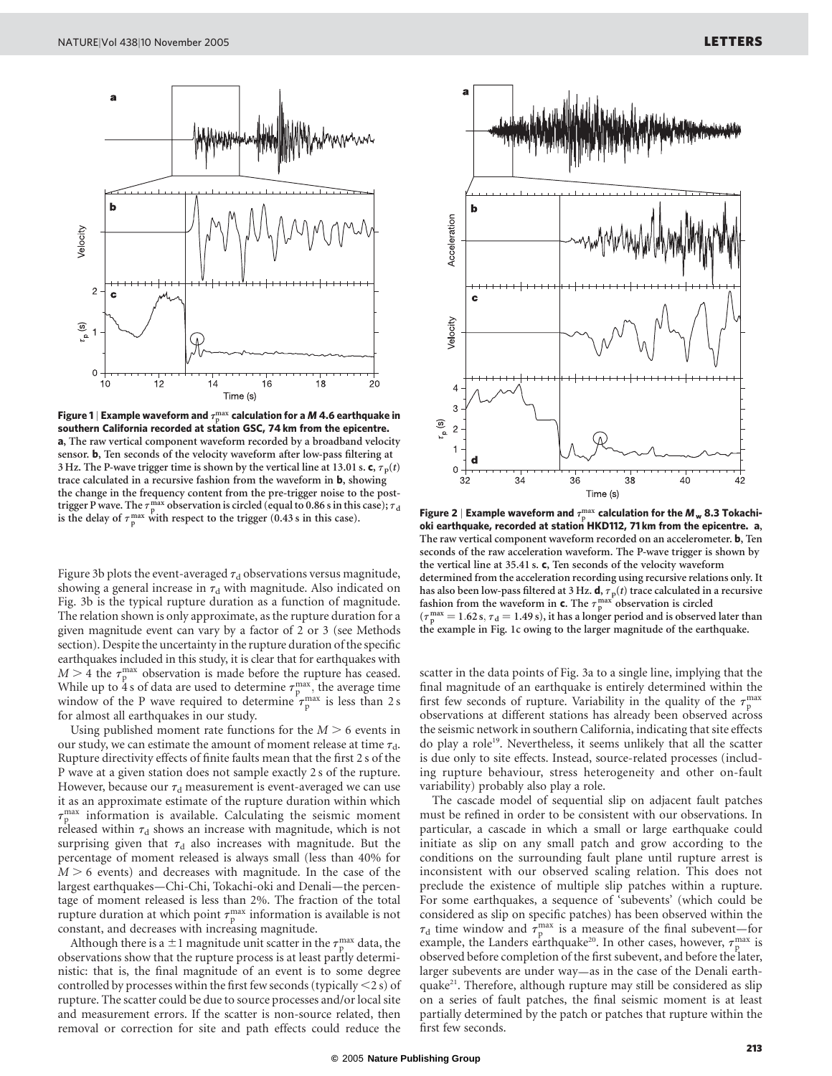

Figure 1 | Example waveform and  $\tau_{\rm p}^{\rm max}$  calculation for a M 4.6 earthquake in southern California recorded at station GSC, 74 km from the epicentre. a, The raw vertical component waveform recorded by a broadband velocity sensor. b, Ten seconds of the velocity waveform after low-pass filtering at 3 Hz. The P-wave trigger time is shown by the vertical line at 13.01 s. c,  $\tau_p(t)$ trace calculated in a recursive fashion from the waveform in b, showing the change in the frequency content from the pre-trigger noise to the posttrigger P wave. The  $\tau_p^{max}$  observation is circled (equal to 0.86 s in this case);  $\tau_d$ <br>Figure 2 | Example waveform and  $\tau_p^{max}$ <br>principal distribution and the trigger (0.43 s in this case).

Figure 3b plots the event-averaged  $\tau_d$  observations versus magnitude, showing a general increase in  $\tau_d$  with magnitude. Also indicated on Fig. 3b is the typical rupture duration as a function of magnitude. The relation shown is only approximate, as the rupture duration for a given magnitude event can vary by a factor of 2 or 3 (see Methods section). Despite the uncertainty in the rupture duration of the specific earthquakes included in this study, it is clear that for earthquakes with  $M > 4$  the  $\tau_p^{\text{max}}$  observation is made before the rupture has ceased. While up to 4s of data are used to determine  $\tau_{\rm p}^{\rm max}$ , the average time window of the P wave required to determine  $\tau_{p}^{\text{max}}$  is less than 2 s for almost all earthquakes in our study.

Using published moment rate functions for the  $M > 6$  events in our study, we can estimate the amount of moment release at time  $\tau_d$ . Rupture directivity effects of finite faults mean that the first 2 s of the P wave at a given station does not sample exactly 2 s of the rupture. However, because our  $\tau_d$  measurement is event-averaged we can use it as an approximate estimate of the rupture duration within which  $\tau_{\rm p}^{\rm max}$  information is available. Calculating the seismic moment released within  $\tau_d$  shows an increase with magnitude, which is not surprising given that  $\tau_d$  also increases with magnitude. But the percentage of moment released is always small (less than 40% for  $M > 6$  events) and decreases with magnitude. In the case of the largest earthquakes—Chi-Chi, Tokachi-oki and Denali—the percentage of moment released is less than 2%. The fraction of the total rupture duration at which point  $\tau_{\rm p}^{\rm max}$  information is available is not constant, and decreases with increasing magnitude.

Although there is a  $\pm 1$  magnitude unit scatter in the  $\tau_{\rm p}^{\rm max}$  data, the observations show that the rupture process is at least partly deterministic: that is, the final magnitude of an event is to some degree controlled by processes within the first few seconds (typically  $\leq$  2 s) of rupture. The scatter could be due to source processes and/or local site and measurement errors. If the scatter is non-source related, then removal or correction for site and path effects could reduce the



Figure 2 | Example waveform and  $\tau_{\rm p}^{\rm max}$  calculation for the M<sub>w</sub> 8.3 Tokachioki earthquake, recorded at station HKD112, 71 km from the epicentre. a, The raw vertical component waveform recorded on an accelerometer. b, Ten seconds of the raw acceleration waveform. The P-wave trigger is shown by the vertical line at 35.41 s. c, Ten seconds of the velocity waveform determined from the acceleration recording using recursive relations only. It has also been low-pass filtered at 3 Hz. **d**,  $\tau_p(t)$  trace calculated in a recursive fashion from the waveform in **c**. The  $\tau_p^{\text{max}}$  observation is circled  $(\tau_p^{\text{max}} = 1.62 \text{ s}, \tau_d = 1.49 \text{ s})$ , it has a longer period and is observed later than the example in Fig. 1c owing to the larger magnitude of the earthquake.

scatter in the data points of Fig. 3a to a single line, implying that the final magnitude of an earthquake is entirely determined within the first few seconds of rupture. Variability in the quality of the  $\tau_{p}^{\max}$ observations at different stations has already been observed across the seismic network in southern California, indicating that site effects do play a role<sup>19</sup>. Nevertheless, it seems unlikely that all the scatter is due only to site effects. Instead, source-related processes (including rupture behaviour, stress heterogeneity and other on-fault variability) probably also play a role.

The cascade model of sequential slip on adjacent fault patches must be refined in order to be consistent with our observations. In particular, a cascade in which a small or large earthquake could initiate as slip on any small patch and grow according to the conditions on the surrounding fault plane until rupture arrest is inconsistent with our observed scaling relation. This does not preclude the existence of multiple slip patches within a rupture. For some earthquakes, a sequence of 'subevents' (which could be considered as slip on specific patches) has been observed within the  $\tau_d$  time window and  $\tau_p^{\text{max}}$  is a measure of the final subevent—for example, the Landers earthquake<sup>20</sup>. In other cases, however,  $\tau_{p}^{\max}$  is observed before completion of the first subevent, and before the later, larger subevents are under way—as in the case of the Denali earthquake<sup>21</sup>. Therefore, although rupture may still be considered as slip on a series of fault patches, the final seismic moment is at least partially determined by the patch or patches that rupture within the first few seconds.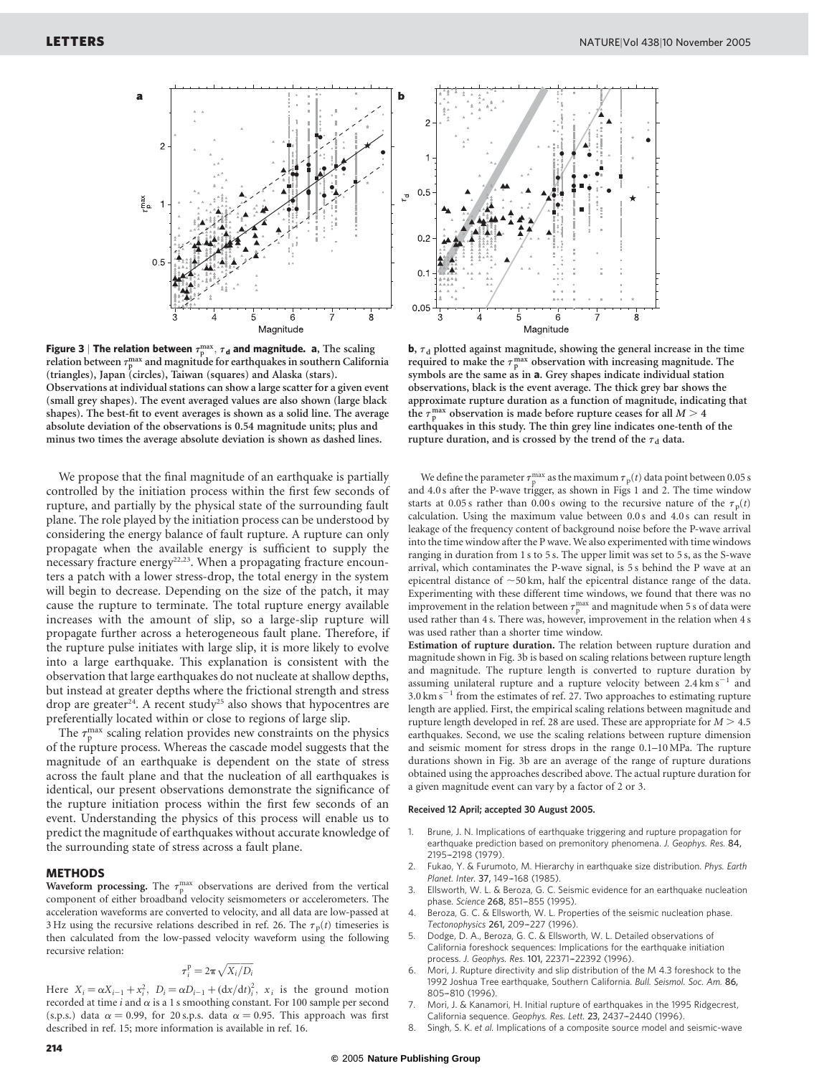

Figure 3 | The relation between  $\tau_{\rm p}^{\rm max},$   $\tau_{\rm d}$  and magnitude. a, The scaling relation between  $\tau_{\rm p}^{\rm max}$  and magnitude for earthquakes in southern California (triangles), Japan (circles), Taiwan (squares) and Alaska (stars). Observations at individual stations can show a large scatter for a given event (small grey shapes). The event averaged values are also shown (large black shapes). The best-fit to event averages is shown as a solid line. The average absolute deviation of the observations is 0.54 magnitude units; plus and minus two times the average absolute deviation is shown as dashed lines.

We propose that the final magnitude of an earthquake is partially controlled by the initiation process within the first few seconds of rupture, and partially by the physical state of the surrounding fault plane. The role played by the initiation process can be understood by considering the energy balance of fault rupture. A rupture can only propagate when the available energy is sufficient to supply the  $\arccosary$  fracture energy<sup>22,23</sup>. When a propagating fracture encounters a patch with a lower stress-drop, the total energy in the system will begin to decrease. Depending on the size of the patch, it may cause the rupture to terminate. The total rupture energy available increases with the amount of slip, so a large-slip rupture will propagate further across a heterogeneous fault plane. Therefore, if the rupture pulse initiates with large slip, it is more likely to evolve into a large earthquake. This explanation is consistent with the observation that large earthquakes do not nucleate at shallow depths, but instead at greater depths where the frictional strength and stress drop are greater<sup>24</sup>. A recent study<sup>25</sup> also shows that hypocentres are preferentially located within or close to regions of large slip.

The  $\tau_{\rm p}^{\rm max}$  scaling relation provides new constraints on the physics of the rupture process. Whereas the cascade model suggests that the magnitude of an earthquake is dependent on the state of stress across the fault plane and that the nucleation of all earthquakes is identical, our present observations demonstrate the significance of the rupture initiation process within the first few seconds of an event. Understanding the physics of this process will enable us to predict the magnitude of earthquakes without accurate knowledge of the surrounding state of stress across a fault plane.

## METHODS

Waveform processing. The  $\tau_{p}^{\max}$  observations are derived from the vertical component of either broadband velocity seismometers or accelerometers. The acceleration waveforms are converted to velocity, and all data are low-passed at 3 Hz using the recursive relations described in ref. 26. The  $\tau_p(t)$  timeseries is then calculated from the low-passed velocity waveform using the following recursive relation:

$$
\tau_i^p = 2\pi \sqrt{X_i/D_i}
$$

Here  $X_i = \alpha X_{i-1} + x_i^2$ ,  $D_i = \alpha D_{i-1} + (\alpha X/\alpha t)_i^2$ ,  $x_i$  is the ground motion recorded at time  $i$  and  $\alpha$  is a 1 s smoothing constant. For 100 sample per second (s.p.s.) data  $\alpha = 0.99$ , for 20 s.p.s. data  $\alpha = 0.95$ . This approach was first described in ref. 15; more information is available in ref. 16.



**b**,  $\tau$ <sub>d</sub> plotted against magnitude, showing the general increase in the time required to make the  $\tau_p^{\text{max}}$  observation with increasing magnitude. The symbols are the same as in a. Grey shapes indicate individual station observations, black is the event average. The thick grey bar shows the approximate rupture duration as a function of magnitude, indicating that the  $\tau_{\rm p}^{\rm max}$  observation is made before rupture ceases for all  $M$   $>$  4 earthquakes in this study. The thin grey line indicates one-tenth of the rupture duration, and is crossed by the trend of the  $\tau_d$  data.

We define the parameter  $\tau_{\rm p}^{\rm max}$  as the maximum  $\tau_{\rm p}(t)$  data point between 0.05 s and 4.0 s after the P-wave trigger, as shown in Figs 1 and 2. The time window starts at 0.05 s rather than 0.00 s owing to the recursive nature of the  $\tau_p(t)$ calculation. Using the maximum value between 0.0 s and 4.0 s can result in leakage of the frequency content of background noise before the P-wave arrival into the time window after the P wave. We also experimented with time windows ranging in duration from 1 s to 5 s. The upper limit was set to 5 s, as the S-wave arrival, which contaminates the P-wave signal, is 5 s behind the P wave at an epicentral distance of  $\sim$  50 km, half the epicentral distance range of the data. Experimenting with these different time windows, we found that there was no improvement in the relation between  $\tau_{\rm p}^{\rm max}$  and magnitude when 5 s of data were used rather than 4 s. There was, however, improvement in the relation when 4 s was used rather than a shorter time window.

Estimation of rupture duration. The relation between rupture duration and magnitude shown in Fig. 3b is based on scaling relations between rupture length and magnitude. The rupture length is converted to rupture duration by assuming unilateral rupture and a rupture velocity between  $2.4 \text{ km s}^{-1}$  and  $3.0 \text{ km s}^{-1}$  from the estimates of ref. 27. Two approaches to estimating rupture length are applied. First, the empirical scaling relations between magnitude and rupture length developed in ref. 28 are used. These are appropriate for  $M > 4.5$ earthquakes. Second, we use the scaling relations between rupture dimension and seismic moment for stress drops in the range 0.1–10 MPa. The rupture durations shown in Fig. 3b are an average of the range of rupture durations obtained using the approaches described above. The actual rupture duration for a given magnitude event can vary by a factor of 2 or 3.

## Received 12 April; accepted 30 August 2005.

- 1. Brune, J. N. Implications of earthquake triggering and rupture propagation for earthquake prediction based on premonitory phenomena. J. Geophys. Res. 84, 2195–-2198 (1979).
- 2. Fukao, Y. & Furumoto, M. Hierarchy in earthquake size distribution. Phys. Earth Planet. Inter. 37, 149-168 (1985).
- 3. Ellsworth, W. L. & Beroza, G. C. Seismic evidence for an earthquake nucleation phase. Science 268, 851-855 (1995).
- 4. Beroza, G. C. & Ellsworth, W. L. Properties of the seismic nucleation phase. Tectonophysics 261, 209-227 (1996).
- 5. Dodge, D. A., Beroza, G. C. & Ellsworth, W. L. Detailed observations of California foreshock sequences: Implications for the earthquake initiation process. J. Geophys. Res. 101, 22371-22392 (1996).
- 6. Mori, J. Rupture directivity and slip distribution of the M 4.3 foreshock to the 1992 Joshua Tree earthquake, Southern California. Bull. Seismol. Soc. Am. 86, 805–810 (1996).
- 7. Mori, J. & Kanamori, H. Initial rupture of earthquakes in the 1995 Ridgecrest, California sequence. Geophys. Res. Lett. 23, 2437-2440 (1996).
- 8. Singh, S. K. et al. Implications of a composite source model and seismic-wave